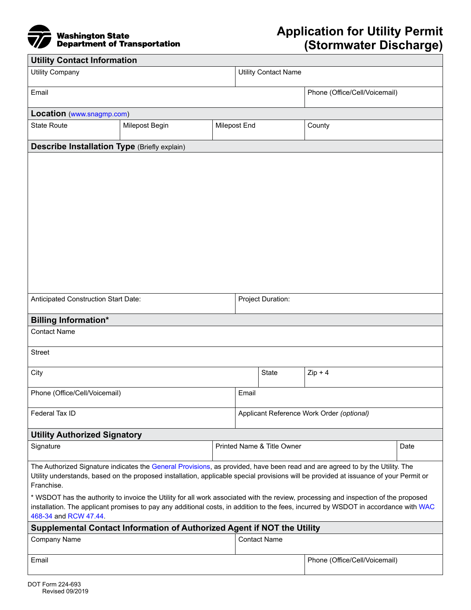

| <b>Utility Contact Information</b>                                                                                                                                                                                                                                                                                                                                                                                                                                                                                                                                                         |                                       |  |                             |                                           |                               |  |
|--------------------------------------------------------------------------------------------------------------------------------------------------------------------------------------------------------------------------------------------------------------------------------------------------------------------------------------------------------------------------------------------------------------------------------------------------------------------------------------------------------------------------------------------------------------------------------------------|---------------------------------------|--|-----------------------------|-------------------------------------------|-------------------------------|--|
| <b>Utility Company</b>                                                                                                                                                                                                                                                                                                                                                                                                                                                                                                                                                                     |                                       |  | <b>Utility Contact Name</b> |                                           |                               |  |
| Email                                                                                                                                                                                                                                                                                                                                                                                                                                                                                                                                                                                      |                                       |  |                             |                                           | Phone (Office/Cell/Voicemail) |  |
| Location (www.snagmp.com)                                                                                                                                                                                                                                                                                                                                                                                                                                                                                                                                                                  |                                       |  |                             |                                           |                               |  |
| <b>State Route</b>                                                                                                                                                                                                                                                                                                                                                                                                                                                                                                                                                                         | Milepost Begin<br><b>Milepost End</b> |  |                             |                                           | County                        |  |
| <b>Describe Installation Type (Briefly explain)</b>                                                                                                                                                                                                                                                                                                                                                                                                                                                                                                                                        |                                       |  |                             |                                           |                               |  |
|                                                                                                                                                                                                                                                                                                                                                                                                                                                                                                                                                                                            |                                       |  |                             |                                           |                               |  |
| Anticipated Construction Start Date:                                                                                                                                                                                                                                                                                                                                                                                                                                                                                                                                                       |                                       |  |                             | Project Duration:                         |                               |  |
| <b>Billing Information*</b>                                                                                                                                                                                                                                                                                                                                                                                                                                                                                                                                                                |                                       |  |                             |                                           |                               |  |
| <b>Contact Name</b>                                                                                                                                                                                                                                                                                                                                                                                                                                                                                                                                                                        |                                       |  |                             |                                           |                               |  |
| <b>Street</b>                                                                                                                                                                                                                                                                                                                                                                                                                                                                                                                                                                              |                                       |  |                             |                                           |                               |  |
| City                                                                                                                                                                                                                                                                                                                                                                                                                                                                                                                                                                                       |                                       |  |                             | State                                     | $Zip + 4$                     |  |
| Phone (Office/Cell/Voicemail)                                                                                                                                                                                                                                                                                                                                                                                                                                                                                                                                                              |                                       |  | Email                       |                                           |                               |  |
| Federal Tax ID                                                                                                                                                                                                                                                                                                                                                                                                                                                                                                                                                                             |                                       |  |                             | Applicant Reference Work Order (optional) |                               |  |
| <b>Utility Authorized Signatory</b>                                                                                                                                                                                                                                                                                                                                                                                                                                                                                                                                                        |                                       |  |                             |                                           |                               |  |
| Signature                                                                                                                                                                                                                                                                                                                                                                                                                                                                                                                                                                                  |                                       |  |                             | Printed Name & Title Owner<br>Date        |                               |  |
| The Authorized Signature indicates the General Provisions, as provided, have been read and are agreed to by the Utility. The<br>Utility understands, based on the proposed installation, applicable special provisions will be provided at issuance of your Permit or<br>Franchise.<br>* WSDOT has the authority to invoice the Utility for all work associated with the review, processing and inspection of the proposed<br>installation. The applicant promises to pay any additional costs, in addition to the fees, incurred by WSDOT in accordance with WAC<br>468-34 and RCW 47.44. |                                       |  |                             |                                           |                               |  |
| Supplemental Contact Information of Authorized Agent if NOT the Utility                                                                                                                                                                                                                                                                                                                                                                                                                                                                                                                    |                                       |  |                             |                                           |                               |  |
| <b>Company Name</b>                                                                                                                                                                                                                                                                                                                                                                                                                                                                                                                                                                        |                                       |  |                             | <b>Contact Name</b>                       |                               |  |
| Email                                                                                                                                                                                                                                                                                                                                                                                                                                                                                                                                                                                      |                                       |  |                             |                                           | Phone (Office/Cell/Voicemail) |  |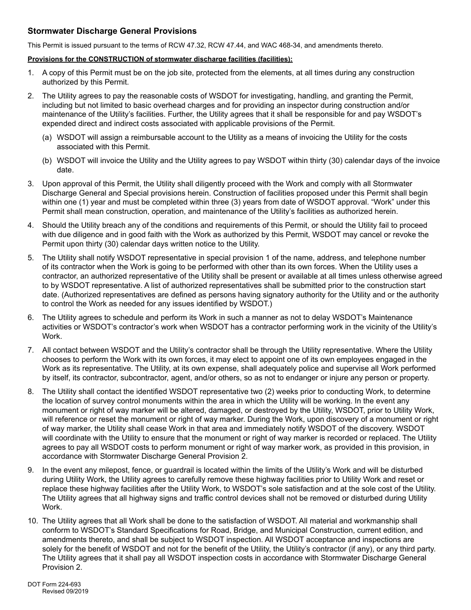## **Stormwater Discharge General Provisions**

This Permit is issued pursuant to the terms of RCW 47.32, RCW 47.44, and WAC 468-34, and amendments thereto.

## **Provisions for the CONSTRUCTION of stormwater discharge facilities (facilities):**

- 1. A copy of this Permit must be on the job site, protected from the elements, at all times during any construction authorized by this Permit.
- 2. The Utility agrees to pay the reasonable costs of WSDOT for investigating, handling, and granting the Permit, including but not limited to basic overhead charges and for providing an inspector during construction and/or maintenance of the Utility's facilities. Further, the Utility agrees that it shall be responsible for and pay WSDOT's expended direct and indirect costs associated with applicable provisions of the Permit.
	- (a) WSDOT will assign a reimbursable account to the Utility as a means of invoicing the Utility for the costs associated with this Permit.
	- (b) WSDOT will invoice the Utility and the Utility agrees to pay WSDOT within thirty (30) calendar days of the invoice date.
- 3. Upon approval of this Permit, the Utility shall diligently proceed with the Work and comply with all Stormwater Discharge General and Special provisions herein. Construction of facilities proposed under this Permit shall begin within one (1) year and must be completed within three (3) years from date of WSDOT approval. "Work" under this Permit shall mean construction, operation, and maintenance of the Utility's facilities as authorized herein.
- 4. Should the Utility breach any of the conditions and requirements of this Permit, or should the Utility fail to proceed with due diligence and in good faith with the Work as authorized by this Permit, WSDOT may cancel or revoke the Permit upon thirty (30) calendar days written notice to the Utility.
- 5. The Utility shall notify WSDOT representative in special provision 1 of the name, address, and telephone number of its contractor when the Work is going to be performed with other than its own forces. When the Utility uses a contractor, an authorized representative of the Utility shall be present or available at all times unless otherwise agreed to by WSDOT representative. A list of authorized representatives shall be submitted prior to the construction start date. (Authorized representatives are defined as persons having signatory authority for the Utility and or the authority to control the Work as needed for any issues identified by WSDOT.)
- 6. The Utility agrees to schedule and perform its Work in such a manner as not to delay WSDOT's Maintenance activities or WSDOT's contractor's work when WSDOT has a contractor performing work in the vicinity of the Utility's Work.
- 7. All contact between WSDOT and the Utility's contractor shall be through the Utility representative. Where the Utility chooses to perform the Work with its own forces, it may elect to appoint one of its own employees engaged in the Work as its representative. The Utility, at its own expense, shall adequately police and supervise all Work performed by itself, its contractor, subcontractor, agent, and/or others, so as not to endanger or injure any person or property.
- 8. The Utility shall contact the identified WSDOT representative two (2) weeks prior to conducting Work, to determine the location of survey control monuments within the area in which the Utility will be working. In the event any monument or right of way marker will be altered, damaged, or destroyed by the Utility, WSDOT, prior to Utility Work, will reference or reset the monument or right of way marker. During the Work, upon discovery of a monument or right of way marker, the Utility shall cease Work in that area and immediately notify WSDOT of the discovery. WSDOT will coordinate with the Utility to ensure that the monument or right of way marker is recorded or replaced. The Utility agrees to pay all WSDOT costs to perform monument or right of way marker work, as provided in this provision, in accordance with Stormwater Discharge General Provision 2.
- 9. In the event any milepost, fence, or guardrail is located within the limits of the Utility's Work and will be disturbed during Utility Work, the Utility agrees to carefully remove these highway facilities prior to Utility Work and reset or replace these highway facilities after the Utility Work, to WSDOT's sole satisfaction and at the sole cost of the Utility. The Utility agrees that all highway signs and traffic control devices shall not be removed or disturbed during Utility Work.
- 10. The Utility agrees that all Work shall be done to the satisfaction of WSDOT. All material and workmanship shall conform to WSDOT's Standard Specifications for Road, Bridge, and Municipal Construction, current edition, and amendments thereto, and shall be subject to WSDOT inspection. All WSDOT acceptance and inspections are solely for the benefit of WSDOT and not for the benefit of the Utility, the Utility's contractor (if any), or any third party. The Utility agrees that it shall pay all WSDOT inspection costs in accordance with Stormwater Discharge General Provision 2.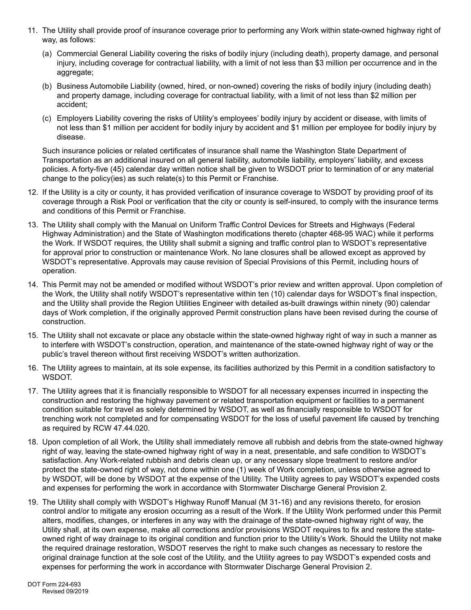- 11. The Utility shall provide proof of insurance coverage prior to performing any Work within state-owned highway right of way, as follows:
	- (a) Commercial General Liability covering the risks of bodily injury (including death), property damage, and personal injury, including coverage for contractual liability, with a limit of not less than \$3 million per occurrence and in the aggregate;
	- (b) Business Automobile Liability (owned, hired, or non-owned) covering the risks of bodily injury (including death) and property damage, including coverage for contractual liability, with a limit of not less than \$2 million per accident;
	- (c) Employers Liability covering the risks of Utility's employees' bodily injury by accident or disease, with limits of not less than \$1 million per accident for bodily injury by accident and \$1 million per employee for bodily injury by disease.

Such insurance policies or related certificates of insurance shall name the Washington State Department of Transportation as an additional insured on all general liability, automobile liability, employers' liability, and excess policies. A forty-five (45) calendar day written notice shall be given to WSDOT prior to termination of or any material change to the policy(ies) as such relate(s) to this Permit or Franchise.

- 12. If the Utility is a city or county, it has provided verification of insurance coverage to WSDOT by providing proof of its coverage through a Risk Pool or verification that the city or county is self-insured, to comply with the insurance terms and conditions of this Permit or Franchise.
- 13. The Utility shall comply with the Manual on Uniform Traffic Control Devices for Streets and Highways (Federal Highway Administration) and the State of Washington modifications thereto (chapter 468-95 WAC) while it performs the Work. If WSDOT requires, the Utility shall submit a signing and traffic control plan to WSDOT's representative for approval prior to construction or maintenance Work. No lane closures shall be allowed except as approved by WSDOT's representative. Approvals may cause revision of Special Provisions of this Permit, including hours of operation.
- 14. This Permit may not be amended or modified without WSDOT's prior review and written approval. Upon completion of the Work, the Utility shall notify WSDOT's representative within ten (10) calendar days for WSDOT's final inspection, and the Utility shall provide the Region Utilities Engineer with detailed as-built drawings within ninety (90) calendar days of Work completion, if the originally approved Permit construction plans have been revised during the course of construction.
- 15. The Utility shall not excavate or place any obstacle within the state-owned highway right of way in such a manner as to interfere with WSDOT's construction, operation, and maintenance of the state-owned highway right of way or the public's travel thereon without first receiving WSDOT's written authorization.
- 16. The Utility agrees to maintain, at its sole expense, its facilities authorized by this Permit in a condition satisfactory to WSDOT.
- 17. The Utility agrees that it is financially responsible to WSDOT for all necessary expenses incurred in inspecting the construction and restoring the highway pavement or related transportation equipment or facilities to a permanent condition suitable for travel as solely determined by WSDOT, as well as financially responsible to WSDOT for trenching work not completed and for compensating WSDOT for the loss of useful pavement life caused by trenching as required by RCW 47.44.020.
- 18. Upon completion of all Work, the Utility shall immediately remove all rubbish and debris from the state-owned highway right of way, leaving the state-owned highway right of way in a neat, presentable, and safe condition to WSDOT's satisfaction. Any Work-related rubbish and debris clean up, or any necessary slope treatment to restore and/or protect the state-owned right of way, not done within one (1) week of Work completion, unless otherwise agreed to by WSDOT, will be done by WSDOT at the expense of the Utility. The Utility agrees to pay WSDOT's expended costs and expenses for performing the work in accordance with Stormwater Discharge General Provision 2.
- 19. The Utility shall comply with WSDOT's Highway Runoff Manual (M 31-16) and any revisions thereto, for erosion control and/or to mitigate any erosion occurring as a result of the Work. If the Utility Work performed under this Permit alters, modifies, changes, or interferes in any way with the drainage of the state-owned highway right of way, the Utility shall, at its own expense, make all corrections and/or provisions WSDOT requires to fix and restore the stateowned right of way drainage to its original condition and function prior to the Utility's Work. Should the Utility not make the required drainage restoration, WSDOT reserves the right to make such changes as necessary to restore the original drainage function at the sole cost of the Utility, and the Utility agrees to pay WSDOT's expended costs and expenses for performing the work in accordance with Stormwater Discharge General Provision 2.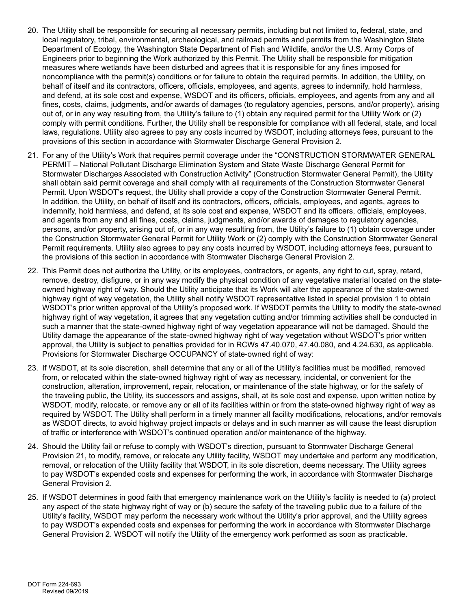- 20. The Utility shall be responsible for securing all necessary permits, including but not limited to, federal, state, and local regulatory, tribal, environmental, archeological, and railroad permits and permits from the Washington State Department of Ecology, the Washington State Department of Fish and Wildlife, and/or the U.S. Army Corps of Engineers prior to beginning the Work authorized by this Permit. The Utility shall be responsible for mitigation measures where wetlands have been disturbed and agrees that it is responsible for any fines imposed for noncompliance with the permit(s) conditions or for failure to obtain the required permits. In addition, the Utility, on behalf of itself and its contractors, officers, officials, employees, and agents, agrees to indemnify, hold harmless, and defend, at its sole cost and expense, WSDOT and its officers, officials, employees, and agents from any and all fines, costs, claims, judgments, and/or awards of damages (to regulatory agencies, persons, and/or property), arising out of, or in any way resulting from, the Utility's failure to (1) obtain any required permit for the Utility Work or (2) comply with permit conditions. Further, the Utility shall be responsible for compliance with all federal, state, and local laws, regulations. Utility also agrees to pay any costs incurred by WSDOT, including attorneys fees, pursuant to the provisions of this section in accordance with Stormwater Discharge General Provision 2.
- 21. For any of the Utility's Work that requires permit coverage under the "CONSTRUCTION STORMWATER GENERAL PERMIT – National Pollutant Discharge Elimination System and State Waste Discharge General Permit for Stormwater Discharges Associated with Construction Activity" (Construction Stormwater General Permit), the Utility shall obtain said permit coverage and shall comply with all requirements of the Construction Stormwater General Permit. Upon WSDOT's request, the Utility shall provide a copy of the Construction Stormwater General Permit. In addition, the Utility, on behalf of itself and its contractors, officers, officials, employees, and agents, agrees to indemnify, hold harmless, and defend, at its sole cost and expense, WSDOT and its officers, officials, employees, and agents from any and all fines, costs, claims, judgments, and/or awards of damages to regulatory agencies, persons, and/or property, arising out of, or in any way resulting from, the Utility's failure to (1) obtain coverage under the Construction Stormwater General Permit for Utility Work or (2) comply with the Construction Stormwater General Permit requirements. Utility also agrees to pay any costs incurred by WSDOT, including attorneys fees, pursuant to the provisions of this section in accordance with Stormwater Discharge General Provision 2.
- 22. This Permit does not authorize the Utility, or its employees, contractors, or agents, any right to cut, spray, retard, remove, destroy, disfigure, or in any way modify the physical condition of any vegetative material located on the stateowned highway right of way. Should the Utility anticipate that its Work will alter the appearance of the state-owned highway right of way vegetation, the Utility shall notify WSDOT representative listed in special provision 1 to obtain WSDOT's prior written approval of the Utility's proposed work. If WSDOT permits the Utility to modify the state-owned highway right of way vegetation, it agrees that any vegetation cutting and/or trimming activities shall be conducted in such a manner that the state-owned highway right of way vegetation appearance will not be damaged. Should the Utility damage the appearance of the state-owned highway right of way vegetation without WSDOT's prior written approval, the Utility is subject to penalties provided for in RCWs 47.40.070, 47.40.080, and 4.24.630, as applicable. Provisions for Stormwater Discharge OCCUPANCY of state-owned right of way:
- 23. If WSDOT, at its sole discretion, shall determine that any or all of the Utility's facilities must be modified, removed from, or relocated within the state-owned highway right of way as necessary, incidental, or convenient for the construction, alteration, improvement, repair, relocation, or maintenance of the state highway, or for the safety of the traveling public, the Utility, its successors and assigns, shall, at its sole cost and expense, upon written notice by WSDOT, modify, relocate, or remove any or all of its facilities within or from the state-owned highway right of way as required by WSDOT. The Utility shall perform in a timely manner all facility modifications, relocations, and/or removals as WSDOT directs, to avoid highway project impacts or delays and in such manner as will cause the least disruption of traffic or interference with WSDOT's continued operation and/or maintenance of the highway.
- 24. Should the Utility fail or refuse to comply with WSDOT's direction, pursuant to Stormwater Discharge General Provision 21, to modify, remove, or relocate any Utility facility, WSDOT may undertake and perform any modification, removal, or relocation of the Utility facility that WSDOT, in its sole discretion, deems necessary. The Utility agrees to pay WSDOT's expended costs and expenses for performing the work, in accordance with Stormwater Discharge General Provision 2.
- 25. If WSDOT determines in good faith that emergency maintenance work on the Utility's facility is needed to (a) protect any aspect of the state highway right of way or (b) secure the safety of the traveling public due to a failure of the Utility's facility, WSDOT may perform the necessary work without the Utility's prior approval, and the Utility agrees to pay WSDOT's expended costs and expenses for performing the work in accordance with Stormwater Discharge General Provision 2. WSDOT will notify the Utility of the emergency work performed as soon as practicable.